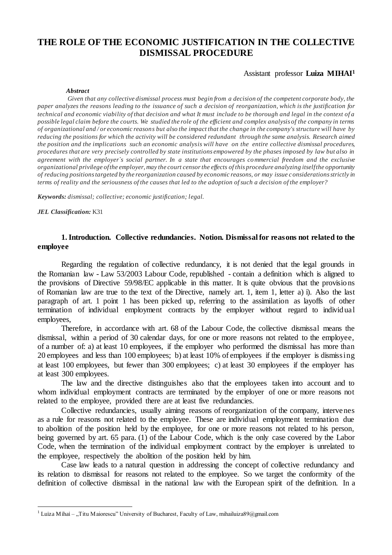# **THE ROLE OF THE ECONOMIC JUSTIFICATION IN THE COLLECTIVE DISMISSAL PROCEDURE**

#### Assistant professor **Luiza MIHAI<sup>1</sup>**

#### *Abstract*

*Given that any collective dismissal process must begin from a decision of the competent corporate body, the paper analyzes the reasons leading to the issuance of such a decision of reorganization, which is the justification for technical and economic viability of that decision and what It must include to be thorough and legal in the context of a possible legal claim before the courts. We studied the role of the efficient and complex analysis of the company in terms of organizational and / or economic reasons but also the impact that the change in the company's structure will have by reducing the positions for which the activity will be considered redundant through the same analysis. Research aimed the position and the implications such an economic analysis will have on the entire collective dismissal procedures, procedures that are very precisely controlled by state institutions empowered by the phases imposed by law but also in agreement with the employer`s social partner. In a state that encourages commercial freedom and the exclusive organizational privilege of the employer, may the court censor the effects of this procedure analyzing itself the opportunity of reducing positions targeted by the reorganization caused by economic reasons, or may issue c onsiderations strictly in terms of reality and the seriousness of the causes that led to the adoption of such a decision of the employer?*

*Keywords: dismissal; collective; economic justification; legal.*

*JEL Classification:* K31

 $\overline{a}$ 

# **1. Introduction. Collective redundancies. Notion. Dismissal for reasons not related to the employee**

Regarding the regulation of collective redundancy, it is not denied that the legal grounds in the Romanian law - Law 53/2003 Labour Code, republished - contain a definition which is aligned to the provisions of Directive 59/98/EC applicable in this matter. It is quite obvious that the provisions of Romanian law are true to the text of the Directive, namely art. 1, item 1, letter a) i). Also the last paragraph of art. 1 point 1 has been picked up, referring to the assimilation as layoffs of other termination of individual employment contracts by the employer without regard to individual employees,

Therefore, in accordance with art. 68 of the Labour Code, the collective dismissal means the dismissal, within a period of 30 calendar days, for one or more reasons not related to the employee, of a number of: a) at least 10 employees, if the employer who performed the dismissal has more than 20 employees and less than 100 employees; b) at least 10% of employees if the employer is dismissing at least 100 employees, but fewer than 300 employees; c) at least 30 employees if the employer has at least 300 employees.

The law and the directive distinguishes also that the employees taken into account and to whom individual employment contracts are terminated by the employer of one or more reasons not related to the employee, provided there are at least five redundancies.

Collective redundancies, usually aiming reasons of reorganization of the company, intervenes as a rule for reasons not related to the employee. These are individual employment termination due to abolition of the position held by the employee, for one or more reasons not related to his person, being governed by art. 65 para. (1) of the Labour Code, which is the only case covered by the Labor Code, when the termination of the individual employment contract by the employer is unrelated to the employee, respectively the abolition of the position held by him.

Case law leads to a natural question in addressing the concept of collective redundancy and its relation to dismissal for reasons not related to the employee. So we target the conformity of the definition of collective dismissal in the national law with the European spirit of the definition. In a

<sup>&</sup>lt;sup>1</sup> Luiza Mihai – "Titu Maiorescu" University of Bucharest, Faculty of Law, mihailuiza89@gmail.com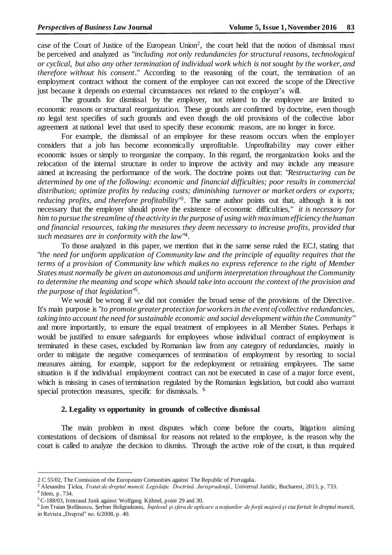case of the Court of Justice of the European Union<sup>2</sup>, the court held that the notion of dismissal must be perceived and analyzed as "*including not only redundancies for structural reasons, technological or cyclical, but also any other termination of individual work which is not sought by the worker, and therefore without his consent*." According to the reasoning of the court, the termination of an employment contract without the consent of the employee can not exceed the scope of the Directive just because it depends on external circumstances not related to the employer's will.

The grounds for dismissal by the employer, not related to the employee are limited to economic reasons or structural reorganization. These grounds are confirmed by doctrine, even though no legal text specifies of such grounds and even though the old provisions of the collective labor agreement at national level that used to specify these economic reasons, are no longer in force.

For example, the dismissal of an employee for these reasons occurs when the employer considers that a job has become economically unprofitable. Unprofitability may cover either economic issues or simply to reorganize the company. In this regard, the reorganization looks and the relocation of the internal structure in order to improve the activity and may include any measure aimed at increasing the performance of the work. The doctrine points out that: "*Restructuring can be determined by one of the following: economic and financial difficulties; poor results in commercial distribution; optimize profits by reducing costs; diminishing turnover or market orders or exports;*  reducing profits, and therefore profitability<sup>13</sup>. The same author points out that, although it is not necessary that the employer should prove the existence of economic difficulties," *it is necessary for him to pursue the streamline of the activity in the purpose of using with maximum efficiency the human and financial resources, taking the measures they deem necessary to increase profits, provided that such measures are in conformity with the law*" 4 .

To those analyzed in this paper, we mention that in the same sense ruled the ECJ, stating that "*the need for uniform application of Community law and the principle of equality requires that the terms of a provision of Community law which makes no express reference to the right of Member States must normally be given an autonomous and uniform interpretation throughout the Community to determine the meaning and scope which should take into account the context of the provision and the purpose of that legislation*" 5 .

We would be wrong if we did not consider the broad sense of the provisions of the Directive. It's main purpose is "*to promote greater protection for workers in the event of collective redundancies, taking into account the need for sustainable economic and social development within the Community*" and more importantly, to ensure the equal treatment of employees in all Member States. Perhaps it would be justified to ensure safeguards for employees whose individual contract of employment is terminated in these cases, excluded by Romanian law from any category of redundancies, mainly in order to mitigate the negative consequences of termination of employment by resorting to social measures aiming, for example, support for the redeployment or retraining employees. The same situation is if the individual employment contract can not be executed in case of a major force event, which is missing in cases of termination regulated by the Romanian legislation, but could also warrant special protection measures, specific for dismissals. <sup>6</sup>

### **2. Legality** *vs* **opportunity in grounds of collective dismissal**

The main problem in most disputes which come before the courts, litigation aiming contestations of decisions of dismissal for reasons not related to the employee, is the reason why the court is called to analyze the decision to dismiss. Through the active role of the court, is thus required

 $\overline{a}$ 

<sup>2</sup> C 55/02, The Comission of the Europeann Comunities against The Republic of Portugalia.

<sup>&</sup>lt;sup>3</sup> Alexandru Țiclea, *Tratat de dreptul muncii. Legislație. Doctrină. Jurisprudență.*, Universul Juridic, Bucharest, 2013, p. 733. 4 Idem, p. 734.

<sup>5</sup>C-188/03, Irmtraud Junk against Wolfgang Kühnel, point 29 and 30.

<sup>6</sup> Ion Traian Ştefănescu, Şerban Beligradeanu, *Înţelesul şi sfera de aplicare a noţiunilor de forţă majoră şi caz fortuit în dreptul muncii*, in Revista "Dreptul" no. 6/2008, p. 40.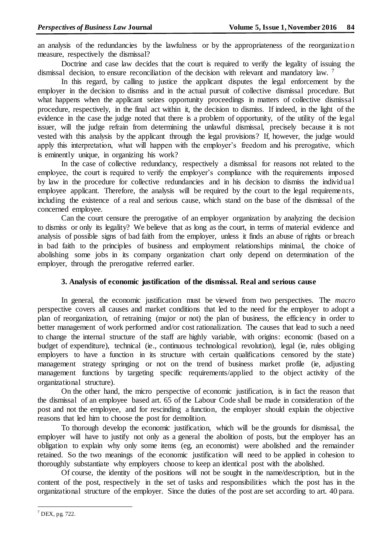an analysis of the redundancies by the lawfulness or by the appropriateness of the reorganization measure, respectively the dismissal?

Doctrine and case law decides that the court is required to verify the legality of issuing the dismissal decision, to ensure reconciliation of the decision with relevant and mandatory law. <sup>7</sup>

In this regard, by calling to justice the applicant disputes the legal enforcement by the employer in the decision to dismiss and in the actual pursuit of collective dismissal procedure. But what happens when the applicant seizes opportunity proceedings in matters of collective dismissal procedure, respectively, in the final act within it, the decision to dismiss. If indeed, in the light of the evidence in the case the judge noted that there is a problem of opportunity, of the utility of the legal issuer, will the judge refrain from determining the unlawful dismissal, precisely because it is not vested with this analysis by the applicant through the legal provisions? If, however, the judge would apply this interpretation, what will happen with the employer's freedom and his prerogative, which is eminently unique, in organizing his work?

In the case of collective redundancy, respectively a dismissal for reasons not related to the employee, the court is required to verify the employer's compliance with the requirements imposed by law in the procedure for collective redundancies and in his decision to dismiss the individual employee applicant. Therefore, the analysis will be required by the court to the legal requirements, including the existence of a real and serious cause, which stand on the base of the dismissal of the concerned employee.

Can the court censure the prerogative of an employer organization by analyzing the decision to dismiss or only its legality? We believe that as long as the court, in terms of material evidence and analysis of possible signs of bad faith from the employer, unless it finds an abuse of rights or breach in bad faith to the principles of business and employment relationships minimal, the choice of abolishing some jobs in its company organization chart only depend on determination of the employer, through the prerogative referred earlier.

### **3. Analysis of economic justification of the dismissal. Real and serious cause**

In general, the economic justification must be viewed from two perspectives. The *macro* perspective covers all causes and market conditions that led to the need for the employer to adopt a plan of reorganization, of retraining (major or not) the plan of business, the efficiency in order to better management of work performed and/or cost rationalization. The causes that lead to such a need to change the internal structure of the staff are highly variable, with origins: economic (based on a budget of expenditure), technical (ie., continuous technological revolution), legal (ie, rules obliging employers to have a function in its structure with certain qualifications censored by the state) management strategy springing or not on the trend of business market profile (ie, adjusting management functions by targeting specific requirements/applied to the object activity of the organizational structure).

On the other hand, the micro perspective of economic justification, is in fact the reason that the dismissal of an employee based art. 65 of the Labour Code shall be made in consideration of the post and not the employee, and for rescinding a function, the employer should explain the objective reasons that led him to choose the post for demolition.

To thorough develop the economic justification, which will be the grounds for dismissal, the employer will have to justify not only as a general the abolition of posts, but the employer has an obligation to explain why only some items (eg, an economist) were abolished and the remainder retained. So the two meanings of the economic justification will need to be applied in cohesion to thoroughly substantiate why employers choose to keep an identical post with the abolished.

Of course, the identity of the positions will not be sought in the name/description, but in the content of the post, respectively in the set of tasks and responsibilities which the post has in the organizational structure of the employer. Since the duties of the post are set according to art. 40 para.

 $\overline{a}$  $7$  DEX, pg. 722.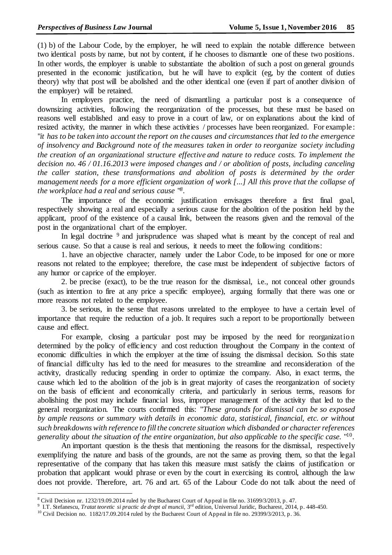(1) b) of the Labour Code, by the employer, he will need to explain the notable difference between two identical posts by name, but not by content, if he chooses to dismantle one of these two positions. In other words, the employer is unable to substantiate the abolition of such a post on general grounds presented in the economic justification, but he will have to explicit (eg, by the content of duties theory) why that post will be abolished and the other identical one (even if part of another division of the employer) will be retained.

In employers practice, the need of dismantling a particular post is a consequence of downsizing activities, following the reorganization of the processes, but these must be based on reasons well established and easy to prove in a court of law, or on explanations about the kind of resized activity, the manner in which these activities / processes have been reorganized. For example: "*it has to be taken into account the report on the causes and circumstances that led to the emergence of insolvency and Background note of the measures taken in order to reorganize society including the creation of an organizational structure effective and nature to reduce costs. To implement the decision no. 46 / 01.16.2013 were imposed changes and / or abolition of posts, including canceling the caller station, these transformations and abolition of posts is determined by the order management needs for a more efficient organization of work [...] All this prove that the collapse of the workplace had a real and serious cause* " *8* .

The importance of the economic justification envisages therefore a first final goal, respectively showing a real and especially a serious cause for the abolition of the position held by the applicant, proof of the existence of a causal link, between the reasons given and the removal of the post in the organizational chart of the employer.

In legal doctrine  $9$  and jurisprudence was shaped what is meant by the concept of real and serious cause. So that a cause is real and serious, it needs to meet the following conditions:

1. have an objective character, namely under the Labor Code, to be imposed for one or more reasons not related to the employee; therefore, the case must be independent of subjective factors of any humor or caprice of the employer.

2. be precise (exact), to be the true reason for the dismissal, i.e., not conceal other grounds (such as intention to fire at any price a specific employee), arguing formally that there was one or more reasons not related to the employee.

3. be serious, in the sense that reasons unrelated to the employee to have a certain level of importance that require the reduction of a job. It requires such a report to be proportionally between cause and effect.

For example, closing a particular post may be imposed by the need for reorganization determined by the policy of efficiency and cost reduction throughout the Company in the context of economic difficulties in which the employer at the time of issuing the dismissal decision. So this state of financial difficulty has led to the need for measures to the streamline and reconsideration of the activity, drastically reducing spending in order to optimize the company. Also, in exact terms, the cause which led to the abolition of the job is in great majority of cases the reorganization of society on the basis of efficient and economically criteria, and particularly in serious terms, reasons for abolishing the post may include financial loss, improper management of the activity that led to the general reorganization. The courts confirmed this: "*These grounds for dismissal can be so exposed by ample reasons or summary with details in economic data, statistical, financial, etc. or without such breakdowns with reference to fill the concrete situation which disbanded or character references generality about the situation of the entire organization, but also applicable to the specific case.* " 10 .

An important question is the thesis that mentioning the reasons for the dismissal, respectively exemplifying the nature and basis of the grounds, are not the same as proving them, so that the legal representative of the company that has taken this measure must satisfy the claims of justification or probation that applicant would phrase or even by the court in exercising its control, although the law does not provide. Therefore, art. 76 and art. 65 of the Labour Code do not talk about the need of

 $\overline{a}$ 

<sup>&</sup>lt;sup>8</sup> Civil Decision nr. 1232/19.09.2014 ruled by the Bucharest Court of Appeal in file no. 31699/3/2013, p. 47.

<sup>&</sup>lt;sup>9</sup> I.T. Stefanescu, *Tratat teoretic si practic de drept al muncii*, 3<sup>rd</sup> edition, Universul Juridic, Bucharest, 2014, p. 448-450.

<sup>&</sup>lt;sup>10</sup> Civil Decision no. 1182/17.09.2014 ruled by the Bucharest Court of Appeal in file no. 29399/3/2013, p. 36.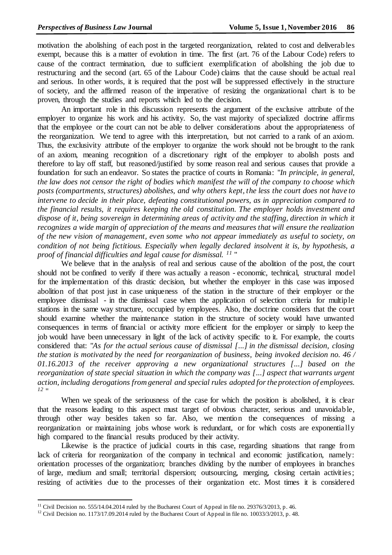motivation the abolishing of each post in the targeted reorganization, related to cost and deliverables exempt, because this is a matter of evolution in time. The first (art. 76 of the Labour Code) refers to cause of the contract termination, due to sufficient exemplification of abolishing the job due to restructuring and the second (art. 65 of the Labour Code) claims that the cause should be actual real and serious. In other words, it is required that the post will be suppressed effectively in the structure of society, and the affirmed reason of the imperative of resizing the organizational chart is to be proven, through the studies and reports which led to the decision.

An important role in this discussion represents the argument of the exclusive attribute of the employer to organize his work and his activity. So, the vast majority of specialized doctrine affirms that the employee or the court can not be able to deliver considerations about the appropriateness of the reorganization. We tend to agree with this interpretation, but not carried to a rank of an axiom. Thus, the exclusivity attribute of the employer to organize the work should not be brought to the rank of an axiom, meaning recognition of a discretionary right of the employer to abolish posts and therefore to lay off staff, but reasoned/justified by some reason real and serious causes that provide a foundation for such an endeavor. So states the practice of courts in Romania: "*In principle, in general, the law does not censor the right of bodies which manifest the will of the company to choose which posts (compartments, structures) abolishes, and why others kept, the less the court does not have to intervene to decide in their place, defeating constitutional powers, as in appreciation compared to the financial results, it requires keeping the old constitution. The employer holds investment and dispose of it, being sovereign in determining areas of activity and the staffing, direction in which it recognizes a wide margin of appreciation of the means and measures that will ensure the realization of the new vision of management, even some who not appear immediately as useful to society, on condition of not being fictitious. Especially when legally declared insolvent it is, by hypothesis, a proof of financial difficulties and legal cause for dismissal. <sup>11</sup>* "

We believe that in the analysis of real and serious cause of the abolition of the post, the court should not be confined to verify if there was actually a reason - economic, technical, structural model for the implementation of this drastic decision, but whether the employer in this case was imposed abolition of that post just in case uniqueness of the station in the structure of their employer or the employee dismissal - in the dismissal case when the application of selection criteria for multiple stations in the same way structure, occupied by employees. Also, the doctrine considers that the court should examine whether the maintenance station in the structure of society would have unwanted consequences in terms of financial or activity more efficient for the employer or simply to keep the job would have been unnecessary in light of the lack of activity specific to it. For example, the courts considered that: "*As for the actual serious cause of dismissal [...] in the dismissal decision, closing the station is motivated by the need for reorganization of business, being invoked decision no. 46 / 01.16.2013 of the receiver approving a new organizational structures [...] based on the reorganization of state special situation in which the company was [...] aspect that warrants urgent action, including derogations from general and special rules adopted for the protection of employees. 12* "

When we speak of the seriousness of the case for which the position is abolished, it is clear that the reasons leading to this aspect must target of obvious character, serious and unavoidable, through other way besides taken so far. Also, we mention the consequences of missing a reorganization or maintaining jobs whose work is redundant, or for which costs are exponentially high compared to the financial results produced by their activity.

Likewise is the practice of judicial courts in this case, regarding situations that range from lack of criteria for reorganization of the company in technical and economic justification, namely: orientation processes of the organization; branches dividing by the number of employees in branches of large, medium and small; territorial dispersion; outsourcing, merging, closing certain activities; resizing of activities due to the processes of their organization etc. Most times it is considered

 $\overline{a}$ 

<sup>&</sup>lt;sup>11</sup> Civil Decision no. 555/14.04.2014 ruled by the Bucharest Court of Appeal in file no. 29376/3/2013, p. 46.

<sup>12</sup> Civil Decision no. 1173/17.09.2014 ruled by the Bucharest Court of Appeal in file no*.* 10033/3/2013*,* p. 48.